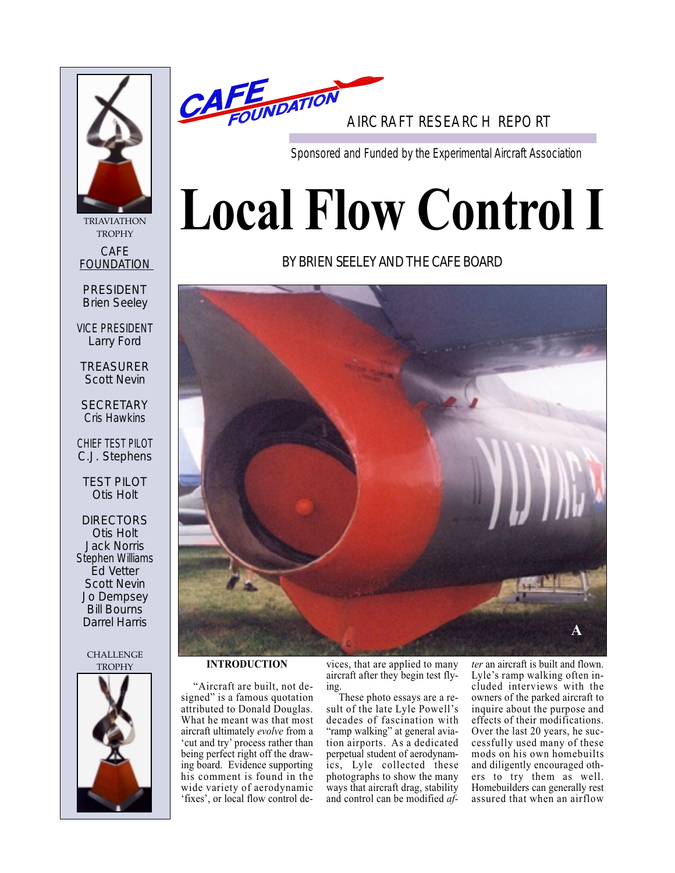

TRIAVIATHON **TROPHY** CAFE FOUNDATION

PRESIDENT Brien Seeley

VICE PRESIDENT Larry Ford

TREASURER Scott Nevin

**SECRETARY** Cris Hawkins

CHIEF TEST PILOT C.J. Stephens

TEST PILOT Otis Holt

DIRECTORS Otis Holt Jack Norris Stephen Williams Ed Vetter Scott Nevin Jo Dempsey Bill Bourns Darrel Harris

**CHALLENGE** 





AIRCRAFT RESEARCH REPORT

Sponsored and Funded by the Experimental Aircraft Association

# **Local Flow Control I**

# BY BRIEN SEELEY AND THE CAFE BOARD



TROPHY **INTRODUCTION**

"Aircraft are built, not designed" is a famous quotation attributed to Donald Douglas. What he meant was that most aircraft ultimately *evolve* from a 'cut and try' process rather than being perfect right off the drawing board. Evidence supporting his comment is found in the wide variety of aerodynamic 'fixes', or local flow control devices, that are applied to many aircraft after they begin test flying.

These photo essays are a result of the late Lyle Powell's decades of fascination with "ramp walking" at general aviation airports. As a dedicated perpetual student of aerodynamics, Lyle collected these photographs to show the many ways that aircraft drag, stability and control can be modified *af-*

*ter* an aircraft is built and flown. Lyle's ramp walking often included interviews with the owners of the parked aircraft to inquire about the purpose and effects of their modifications. Over the last 20 years, he successfully used many of these mods on his own homebuilts and diligently encouraged others to try them as well. Homebuilders can generally rest assured that when an airflow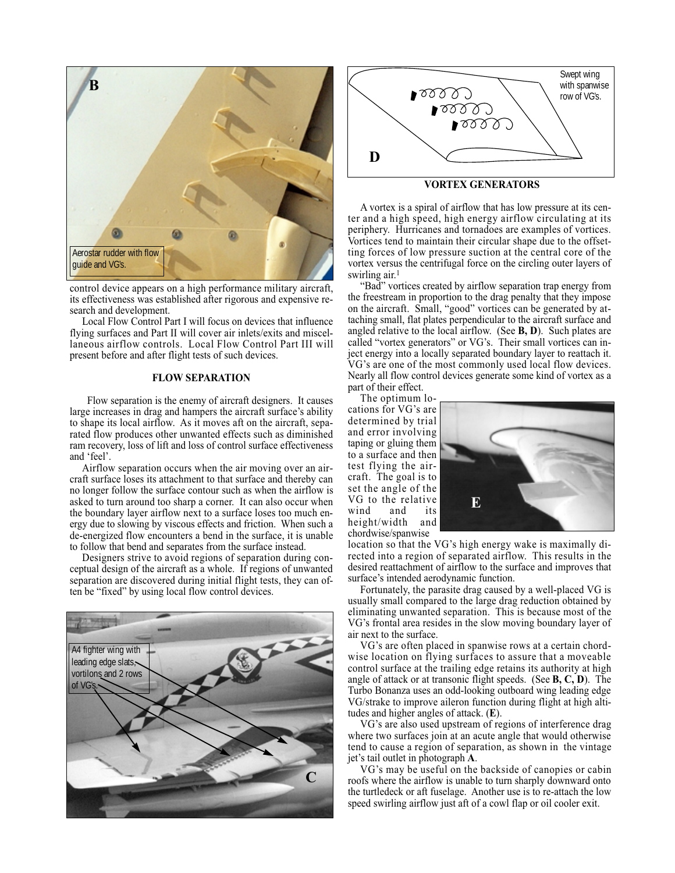

control device appears on a high performance military aircraft, its effectiveness was established after rigorous and expensive research and development.

Local Flow Control Part I will focus on devices that influence flying surfaces and Part II will cover air inlets/exits and miscellaneous airflow controls. Local Flow Control Part III will present before and after flight tests of such devices.

#### **FLOW SEPARATION**

Flow separation is the enemy of aircraft designers. It causes large increases in drag and hampers the aircraft surface's ability to shape its local airflow. As it moves aft on the aircraft, separated flow produces other unwanted effects such as diminished ram recovery, loss of lift and loss of control surface effectiveness and 'feel'.

Airflow separation occurs when the air moving over an aircraft surface loses its attachment to that surface and thereby can no longer follow the surface contour such as when the airflow is asked to turn around too sharp a corner. It can also occur when the boundary layer airflow next to a surface loses too much energy due to slowing by viscous effects and friction. When such a de-energized flow encounters a bend in the surface, it is unable to follow that bend and separates from the surface instead.

Designers strive to avoid regions of separation during conceptual design of the aircraft as a whole. If regions of unwanted separation are discovered during initial flight tests, they can often be "fixed" by using local flow control devices.





# **VORTEX GENERATORS**

A vortex is a spiral of airflow that has low pressure at its center and a high speed, high energy airflow circulating at its periphery. Hurricanes and tornadoes are examples of vortices. Vortices tend to maintain their circular shape due to the offsetting forces of low pressure suction at the central core of the vortex versus the centrifugal force on the circling outer layers of swirling air.<sup>1</sup>

"Bad" vortices created by airflow separation trap energy from the freestream in proportion to the drag penalty that they impose on the aircraft. Small, "good" vortices can be generated by attaching small, flat plates perpendicular to the aircraft surface and angled relative to the local airflow. (See **B, D**). Such plates are called "vortex generators" or VG's. Their small vortices can inject energy into a locally separated boundary layer to reattach it. VG's are one of the most commonly used local flow devices. Nearly all flow control devices generate some kind of vortex as a part of their effect.

The optimum lo-

cations for VG's are determined by trial and error involving taping or gluing them to a surface and then test flying the aircraft. The goal is to set the angle of the VG to the relative wind and its<br>height/width and height/width chordwise/spanwise



location so that the VG's high energy wake is maximally directed into a region of separated airflow. This results in the desired reattachment of airflow to the surface and improves that surface's intended aerodynamic function.

Fortunately, the parasite drag caused by a well-placed VG is usually small compared to the large drag reduction obtained by eliminating unwanted separation. This is because most of the VG's frontal area resides in the slow moving boundary layer of air next to the surface.

VG's are often placed in spanwise rows at a certain chordwise location on flying surfaces to assure that a moveable control surface at the trailing edge retains its authority at high angle of attack or at transonic flight speeds. (See **B, C, D**). The Turbo Bonanza uses an odd-looking outboard wing leading edge VG/strake to improve aileron function during flight at high altitudes and higher angles of attack. (**E**).

VG's are also used upstream of regions of interference drag where two surfaces join at an acute angle that would otherwise tend to cause a region of separation, as shown in the vintage jet's tail outlet in photograph **A**.

VG's may be useful on the backside of canopies or cabin roofs where the airflow is unable to turn sharply downward onto the turtledeck or aft fuselage. Another use is to re-attach the low speed swirling airflow just aft of a cowl flap or oil cooler exit.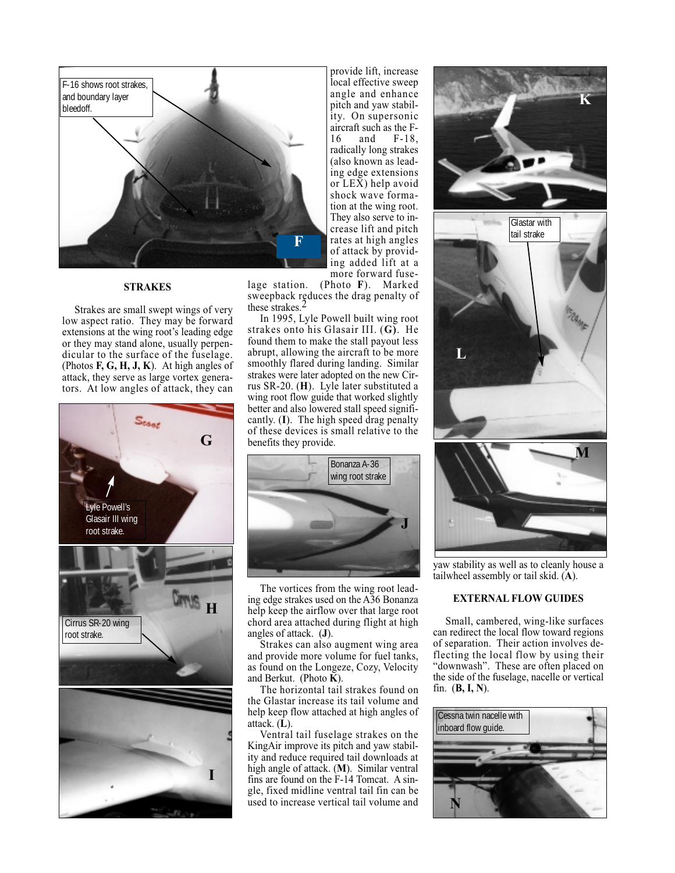

# **STRAKES**

Strakes are small swept wings of very low aspect ratio. They may be forward extensions at the wing root's leading edge or they may stand alone, usually perpendicular to the surface of the fuselage. (Photos **F, G, H, J, K**). At high angles of attack, they serve as large vortex generators. At low angles of attack, they can



provide lift, increase local effective sweep angle and enhance pitch and yaw stability. On supersonic aircraft such as the  $F-16$  and  $F-18$ , 16 and F-18, radically long strakes (also known as leading edge extensions or LEX) help avoid shock wave formation at the wing root. They also serve to increase lift and pitch rates at high angles of attack by providing added lift at a more forward fuse-

lage station. (Photo **F**). Marked sweepback reduces the drag penalty of these strakes.<sup>2</sup>

In 1995, Lyle Powell built wing root strakes onto his Glasair III. (**G)**. He found them to make the stall payout less abrupt, allowing the aircraft to be more smoothly flared during landing. Similar strakes were later adopted on the new Cirrus SR-20. (**H**). Lyle later substituted a wing root flow guide that worked slightly better and also lowered stall speed significantly. (**I**). The high speed drag penalty of these devices is small relative to the benefits they provide.



The vortices from the wing root leading edge strakes used on the A36 Bonanza help keep the airflow over that large root chord area attached during flight at high angles of attack. (**J**).

Strakes can also augment wing area and provide more volume for fuel tanks, as found on the Longeze, Cozy, Velocity and Berkut. (Photo **K**).

The horizontal tail strakes found on the Glastar increase its tail volume and help keep flow attached at high angles of attack. (**L**).

Ventral tail fuselage strakes on the KingAir improve its pitch and yaw stability and reduce required tail downloads at high angle of attack. (**M**). Similar ventral fins are found on the F-14 Tomcat. A single, fixed midline ventral tail fin can be used to increase vertical tail volume and



yaw stability as well as to cleanly house a tailwheel assembly or tail skid. (**A**).

# **EXTERNAL FLOW GUIDES**

Small, cambered, wing-like surfaces can redirect the local flow toward regions of separation. Their action involves deflecting the local flow by using their "downwash". These are often placed on the side of the fuselage, nacelle or vertical fin. (**B, I, N**).

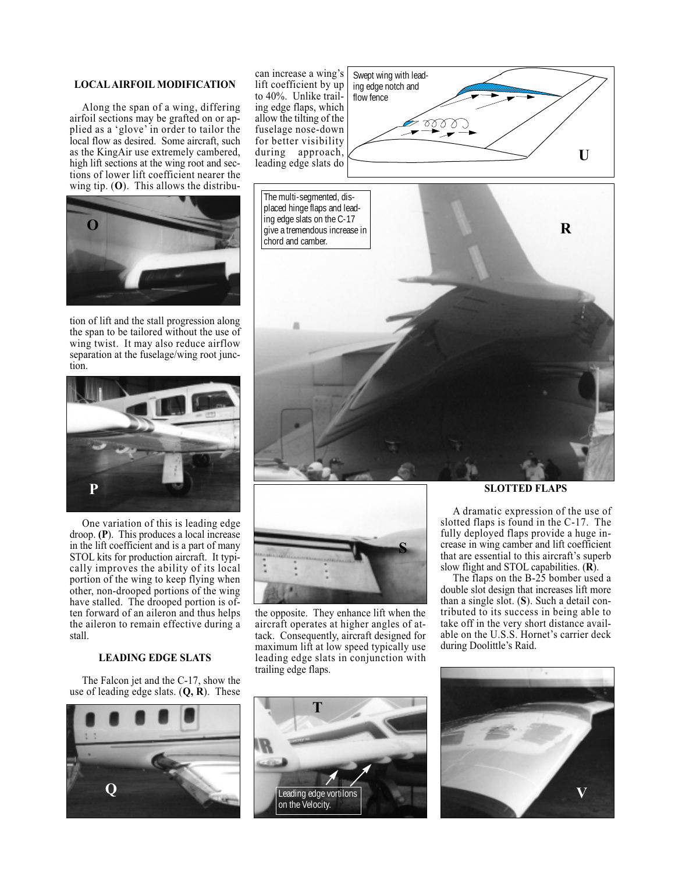# **LOCAL AIRFOIL MODIFICATION**

Along the span of a wing, differing airfoil sections may be grafted on or applied as a 'glove' in order to tailor the local flow as desired. Some aircraft, such as the KingAir use extremely cambered, high lift sections at the wing root and sections of lower lift coefficient nearer the wing tip. (**O**). This allows the distribu-



tion of lift and the stall progression along the span to be tailored without the use of wing twist. It may also reduce airflow separation at the fuselage/wing root junction.



One variation of this is leading edge droop. **(P**). This produces a local increase in the lift coefficient and is a part of many STOL kits for production aircraft. It typically improves the ability of its local portion of the wing to keep flying when other, non-drooped portions of the wing have stalled. The drooped portion is often forward of an aileron and thus helps the aileron to remain effective during a stall.

#### **LEADING EDGE SLATS**

The Falcon jet and the C-17, show the use of leading edge slats. (**Q, R**). These



can increase a wing's lift coefficient by up to 40%. Unlike trailing edge flaps, which allow the tilting of the fuselage nose-down for better visibility during approach, leading edge slats do





the opposite. They enhance lift when the aircraft operates at higher angles of attack. Consequently, aircraft designed for maximum lift at low speed typically use leading edge slats in conjunction with trailing edge flaps.



**SLOTTED FLAPS**

A dramatic expression of the use of slotted flaps is found in the C-17. The fully deployed flaps provide a huge increase in wing camber and lift coefficient that are essential to this aircraft's superb slow flight and STOL capabilities. (**R**).

The flaps on the B-25 bomber used a double slot design that increases lift more than a single slot. (**S**). Such a detail contributed to its success in being able to take off in the very short distance available on the U.S.S. Hornet's carrier deck during Doolittle's Raid.